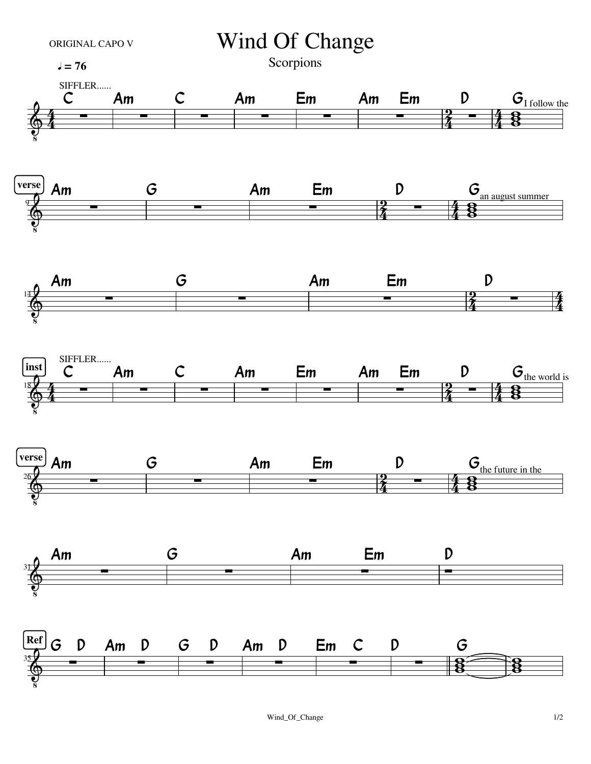

## ORIGINAL CAPO V Wind Of Change

Scorpions

 $J = 76$  Scorpions